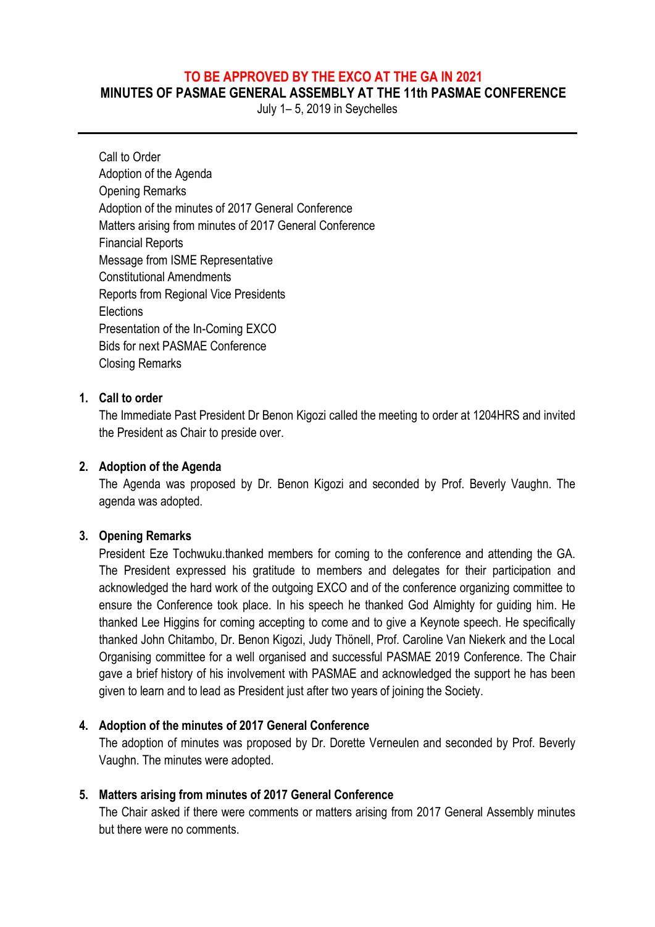# **TO BE APPROVED BY THE EXCO AT THE GA IN 2021**

**MINUTES OF PASMAE GENERAL ASSEMBLY AT THE 11th PASMAE CONFERENCE**

July 1– 5, 2019 in Seychelles

Call to Order Adoption of the Agenda Opening Remarks Adoption of the minutes of 2017 General Conference Matters arising from minutes of 2017 General Conference Financial Reports Message from ISME Representative Constitutional Amendments Reports from Regional Vice Presidents **Elections** Presentation of the In-Coming EXCO Bids for next PASMAE Conference Closing Remarks

#### **1. Call to order**

The Immediate Past President Dr Benon Kigozi called the meeting to order at 1204HRS and invited the President as Chair to preside over.

#### **2. Adoption of the Agenda**

The Agenda was proposed by Dr. Benon Kigozi and seconded by Prof. Beverly Vaughn. The agenda was adopted.

#### **3. Opening Remarks**

President Eze Tochwuku.thanked members for coming to the conference and attending the GA. The President expressed his gratitude to members and delegates for their participation and acknowledged the hard work of the outgoing EXCO and of the conference organizing committee to ensure the Conference took place. In his speech he thanked God Almighty for guiding him. He thanked Lee Higgins for coming accepting to come and to give a Keynote speech. He specifically thanked John Chitambo, Dr. Benon Kigozi, Judy Thönell, Prof. Caroline Van Niekerk and the Local Organising committee for a well organised and successful PASMAE 2019 Conference. The Chair gave a brief history of his involvement with PASMAE and acknowledged the support he has been given to learn and to lead as President just after two years of joining the Society.

#### **4. Adoption of the minutes of 2017 General Conference**

The adoption of minutes was proposed by Dr. Dorette Verneulen and seconded by Prof. Beverly Vaughn. The minutes were adopted.

#### **5. Matters arising from minutes of 2017 General Conference**

The Chair asked if there were comments or matters arising from 2017 General Assembly minutes but there were no comments.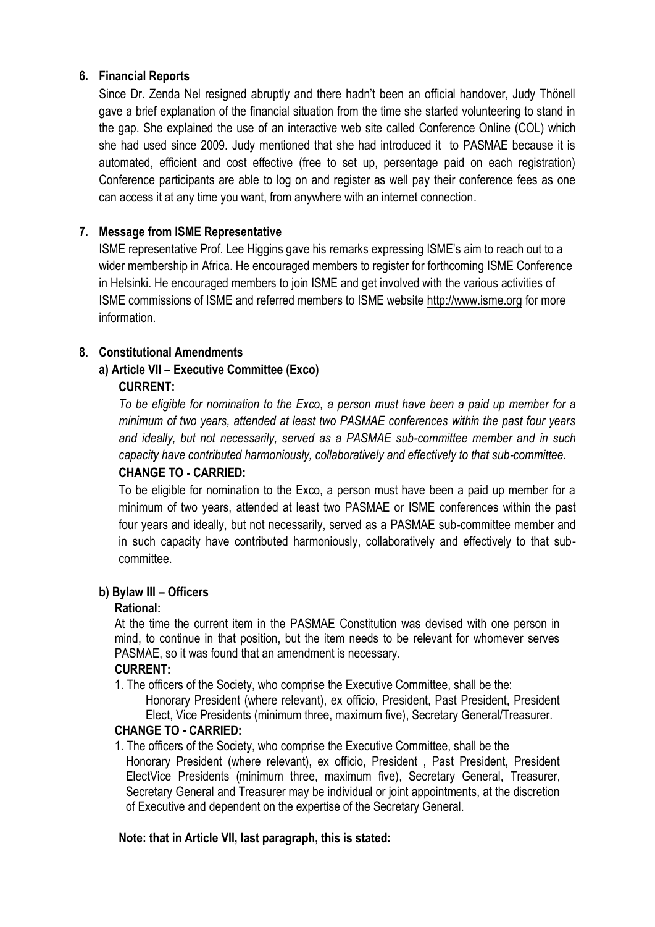# **6. Financial Reports**

Since Dr. Zenda Nel resigned abruptly and there hadn't been an official handover, Judy Thönell gave a brief explanation of the financial situation from the time she started volunteering to stand in the gap. She explained the use of an interactive web site called Conference Online (COL) which she had used since 2009. Judy mentioned that she had introduced it to PASMAE because it is automated, efficient and cost effective (free to set up, persentage paid on each registration) Conference participants are able to log on and register as well pay their conference fees as one can access it at any time you want, from anywhere with an internet connection.

# **7. Message from ISME Representative**

ISME representative Prof. Lee Higgins gave his remarks expressing ISME's aim to reach out to a wider membership in Africa. He encouraged members to register for forthcoming ISME Conference in Helsinki. He encouraged members to join ISME and get involved with the various activities of ISME commissions of ISME and referred members to ISME website http://www.isme.org for more information.

# **8. Constitutional Amendments**

# **a) Article VII – Executive Committee (Exco)**

# **CURRENT:**

*To be eligible for nomination to the Exco, a person must have been a paid up member for a minimum of two years, attended at least two PASMAE conferences within the past four years and ideally, but not necessarily, served as a PASMAE sub-committee member and in such capacity have contributed harmoniously, collaboratively and effectively to that sub-committee.*

## **CHANGE TO - CARRIED:**

To be eligible for nomination to the Exco, a person must have been a paid up member for a minimum of two years, attended at least two PASMAE or ISME conferences within the past four years and ideally, but not necessarily, served as a PASMAE sub-committee member and in such capacity have contributed harmoniously, collaboratively and effectively to that subcommittee.

## **b) Bylaw III – Officers**

## **Rational:**

At the time the current item in the PASMAE Constitution was devised with one person in mind, to continue in that position, but the item needs to be relevant for whomever serves PASMAE, so it was found that an amendment is necessary.

## **CURRENT:**

1. The officers of the Society, who comprise the Executive Committee, shall be the: Honorary President (where relevant), ex officio, President, Past President, President Elect, Vice Presidents (minimum three, maximum five), Secretary General/Treasurer.

## **CHANGE TO - CARRIED:**

1. The officers of the Society, who comprise the Executive Committee, shall be the Honorary President (where relevant), ex officio, President , Past President, President ElectVice Presidents (minimum three, maximum five), Secretary General, Treasurer, Secretary General and Treasurer may be individual or joint appointments, at the discretion of Executive and dependent on the expertise of the Secretary General.

## **Note: that in Article VII, last paragraph, this is stated:**